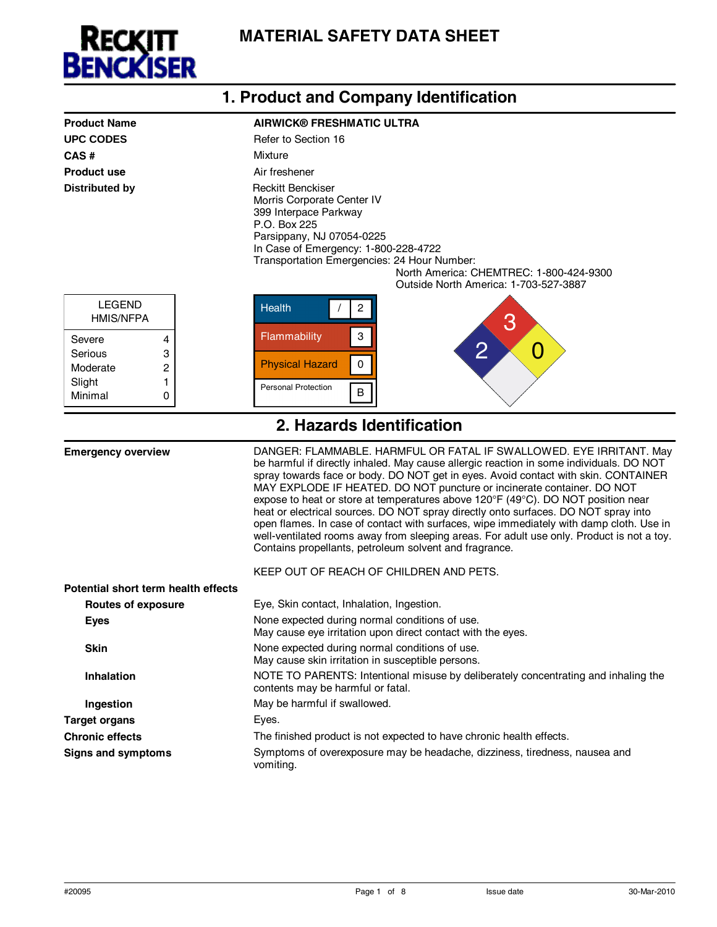

|                                                  | 1. Product and Company Identification                                                                                                                                                                                                                                                                                                                                                                                                                                                                                                                                                                                                                                                                                                                      |
|--------------------------------------------------|------------------------------------------------------------------------------------------------------------------------------------------------------------------------------------------------------------------------------------------------------------------------------------------------------------------------------------------------------------------------------------------------------------------------------------------------------------------------------------------------------------------------------------------------------------------------------------------------------------------------------------------------------------------------------------------------------------------------------------------------------------|
| <b>Product Name</b>                              | <b>AIRWICK® FRESHMATIC ULTRA</b>                                                                                                                                                                                                                                                                                                                                                                                                                                                                                                                                                                                                                                                                                                                           |
| <b>UPC CODES</b>                                 | Refer to Section 16                                                                                                                                                                                                                                                                                                                                                                                                                                                                                                                                                                                                                                                                                                                                        |
| CAS#                                             | Mixture                                                                                                                                                                                                                                                                                                                                                                                                                                                                                                                                                                                                                                                                                                                                                    |
| <b>Product use</b>                               | Air freshener                                                                                                                                                                                                                                                                                                                                                                                                                                                                                                                                                                                                                                                                                                                                              |
| <b>Distributed by</b>                            | <b>Reckitt Benckiser</b><br>Morris Corporate Center IV<br>399 Interpace Parkway<br>P.O. Box 225<br>Parsippany, NJ 07054-0225<br>In Case of Emergency: 1-800-228-4722<br>Transportation Emergencies: 24 Hour Number:<br>North America: CHEMTREC: 1-800-424-9300<br>Outside North America: 1-703-527-3887                                                                                                                                                                                                                                                                                                                                                                                                                                                    |
| <b>LEGEND</b><br><b>HMIS/NFPA</b><br>Severe<br>4 | <b>Health</b><br>$\overline{2}$<br>З<br>Flammability<br>$\ensuremath{\mathsf{3}}$                                                                                                                                                                                                                                                                                                                                                                                                                                                                                                                                                                                                                                                                          |
| Serious<br>3                                     | $\overline{2}$<br>O<br><b>Physical Hazard</b><br>0                                                                                                                                                                                                                                                                                                                                                                                                                                                                                                                                                                                                                                                                                                         |
| Moderate<br>2<br>Slight<br>1                     |                                                                                                                                                                                                                                                                                                                                                                                                                                                                                                                                                                                                                                                                                                                                                            |
| Minimal<br>0                                     | <b>Personal Protection</b><br>B                                                                                                                                                                                                                                                                                                                                                                                                                                                                                                                                                                                                                                                                                                                            |
|                                                  |                                                                                                                                                                                                                                                                                                                                                                                                                                                                                                                                                                                                                                                                                                                                                            |
|                                                  | 2. Hazards Identification                                                                                                                                                                                                                                                                                                                                                                                                                                                                                                                                                                                                                                                                                                                                  |
| <b>Emergency overview</b>                        | DANGER: FLAMMABLE. HARMFUL OR FATAL IF SWALLOWED. EYE IRRITANT. May<br>be harmful if directly inhaled. May cause allergic reaction in some individuals. DO NOT<br>spray towards face or body. DO NOT get in eyes. Avoid contact with skin. CONTAINER<br>MAY EXPLODE IF HEATED. DO NOT puncture or incinerate container. DO NOT<br>expose to heat or store at temperatures above 120°F (49°C). DO NOT position near<br>heat or electrical sources. DO NOT spray directly onto surfaces. DO NOT spray into<br>open flames. In case of contact with surfaces, wipe immediately with damp cloth. Use in<br>well-ventilated rooms away from sleeping areas. For adult use only. Product is not a toy.<br>Contains propellants, petroleum solvent and fragrance. |
|                                                  | KEEP OUT OF REACH OF CHILDREN AND PETS.                                                                                                                                                                                                                                                                                                                                                                                                                                                                                                                                                                                                                                                                                                                    |
| Potential short term health effects              | Eye, Skin contact, Inhalation, Ingestion.                                                                                                                                                                                                                                                                                                                                                                                                                                                                                                                                                                                                                                                                                                                  |
| <b>Routes of exposure</b><br><b>Eyes</b>         | None expected during normal conditions of use.                                                                                                                                                                                                                                                                                                                                                                                                                                                                                                                                                                                                                                                                                                             |
|                                                  | May cause eye irritation upon direct contact with the eyes.                                                                                                                                                                                                                                                                                                                                                                                                                                                                                                                                                                                                                                                                                                |
| <b>Skin</b>                                      | None expected during normal conditions of use.<br>May cause skin irritation in susceptible persons.                                                                                                                                                                                                                                                                                                                                                                                                                                                                                                                                                                                                                                                        |
| <b>Inhalation</b>                                | NOTE TO PARENTS: Intentional misuse by deliberately concentrating and inhaling the<br>contents may be harmful or fatal.                                                                                                                                                                                                                                                                                                                                                                                                                                                                                                                                                                                                                                    |
| Ingestion                                        | May be harmful if swallowed.                                                                                                                                                                                                                                                                                                                                                                                                                                                                                                                                                                                                                                                                                                                               |
| <b>Target organs</b>                             | Eyes.                                                                                                                                                                                                                                                                                                                                                                                                                                                                                                                                                                                                                                                                                                                                                      |
| <b>Chronic effects</b>                           | The finished product is not expected to have chronic health effects.                                                                                                                                                                                                                                                                                                                                                                                                                                                                                                                                                                                                                                                                                       |
| <b>Signs and symptoms</b>                        | Symptoms of overexposure may be headache, dizziness, tiredness, nausea and<br>vomiting.                                                                                                                                                                                                                                                                                                                                                                                                                                                                                                                                                                                                                                                                    |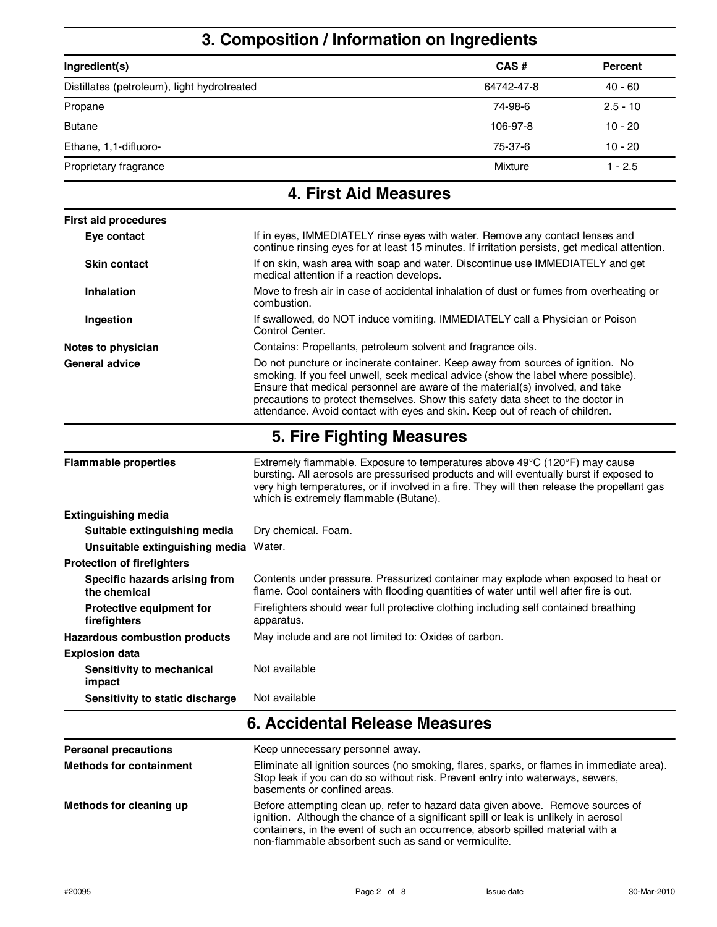# **3. Composition / Information on Ingredients**

| Ingredient(s)                               | CAS#       | <b>Percent</b> |
|---------------------------------------------|------------|----------------|
| Distillates (petroleum), light hydrotreated | 64742-47-8 | $40 - 60$      |
| Propane                                     | 74-98-6    | $2.5 - 10$     |
| <b>Butane</b>                               | 106-97-8   | $10 - 20$      |
| Ethane, 1,1-difluoro-                       | 75-37-6    | $10 - 20$      |
| Proprietary fragrance                       | Mixture    | $1 - 2.5$      |

| <b>4. First Aid Measures</b>                  |                                                                                                                                                                                                                                                                                                                                                                                                                          |  |
|-----------------------------------------------|--------------------------------------------------------------------------------------------------------------------------------------------------------------------------------------------------------------------------------------------------------------------------------------------------------------------------------------------------------------------------------------------------------------------------|--|
| <b>First aid procedures</b>                   |                                                                                                                                                                                                                                                                                                                                                                                                                          |  |
| Eye contact                                   | If in eyes, IMMEDIATELY rinse eyes with water. Remove any contact lenses and<br>continue rinsing eyes for at least 15 minutes. If irritation persists, get medical attention.                                                                                                                                                                                                                                            |  |
| <b>Skin contact</b>                           | If on skin, wash area with soap and water. Discontinue use IMMEDIATELY and get<br>medical attention if a reaction develops.                                                                                                                                                                                                                                                                                              |  |
| Inhalation                                    | Move to fresh air in case of accidental inhalation of dust or fumes from overheating or<br>combustion.                                                                                                                                                                                                                                                                                                                   |  |
| Ingestion                                     | If swallowed, do NOT induce vomiting. IMMEDIATELY call a Physician or Poison<br>Control Center.                                                                                                                                                                                                                                                                                                                          |  |
| Notes to physician                            | Contains: Propellants, petroleum solvent and fragrance oils.                                                                                                                                                                                                                                                                                                                                                             |  |
| <b>General advice</b>                         | Do not puncture or incinerate container. Keep away from sources of ignition. No<br>smoking. If you feel unwell, seek medical advice (show the label where possible).<br>Ensure that medical personnel are aware of the material(s) involved, and take<br>precautions to protect themselves. Show this safety data sheet to the doctor in<br>attendance. Avoid contact with eyes and skin. Keep out of reach of children. |  |
|                                               | 5. Fire Fighting Measures                                                                                                                                                                                                                                                                                                                                                                                                |  |
| <b>Flammable properties</b>                   | Extremely flammable. Exposure to temperatures above $49^{\circ}C$ (120 $^{\circ}F$ ) may cause<br>bursting. All aerosols are pressurised products and will eventually burst if exposed to<br>very high temperatures, or if involved in a fire. They will then release the propellant gas<br>which is extremely flammable (Butane).                                                                                       |  |
| <b>Extinguishing media</b>                    |                                                                                                                                                                                                                                                                                                                                                                                                                          |  |
| Suitable extinguishing media                  | Dry chemical. Foam.                                                                                                                                                                                                                                                                                                                                                                                                      |  |
| Unsuitable extinguishing media Water.         |                                                                                                                                                                                                                                                                                                                                                                                                                          |  |
| <b>Protection of firefighters</b>             |                                                                                                                                                                                                                                                                                                                                                                                                                          |  |
| Specific hazards arising from<br>the chemical | Contents under pressure. Pressurized container may explode when exposed to heat or<br>flame. Cool containers with flooding quantities of water until well after fire is out.                                                                                                                                                                                                                                             |  |

| 6. Accidental Release Measures                  |                                                                                                                                                                             |
|-------------------------------------------------|-----------------------------------------------------------------------------------------------------------------------------------------------------------------------------|
| Sensitivity to static discharge                 | Not available                                                                                                                                                               |
| Sensitivity to mechanical<br>impact             | Not available                                                                                                                                                               |
| <b>Explosion data</b>                           |                                                                                                                                                                             |
| <b>Hazardous combustion products</b>            | May include and are not limited to: Oxides of carbon.                                                                                                                       |
| <b>Protective equipment for</b><br>firefighters | Firefighters should wear full protective clothing including self contained breathing<br>apparatus.                                                                          |
| Specific hazards arising from<br>the chemical   | Contents under pressure. Pressurized container may explode when exposed to heat o<br>flame. Cool containers with flooding quantities of water until well after fire is out. |
| <b>Protection of firefighters</b>               |                                                                                                                                                                             |
| Unsuitable extinguishing media Water.           |                                                                                                                                                                             |
| Suitable extinguishing media                    | Dry chemical. Foam.                                                                                                                                                         |
| <b>Extinguishing media</b>                      |                                                                                                                                                                             |
|                                                 | very high temperatures, or if involved in a fire. They will then release the propellant ga<br>which is extremely flammable (Butane).                                        |

| <b>Personal precautions</b>    | Keep unnecessary personnel away.                                                                                                                                                                                                                                                                                 |
|--------------------------------|------------------------------------------------------------------------------------------------------------------------------------------------------------------------------------------------------------------------------------------------------------------------------------------------------------------|
| <b>Methods for containment</b> | Eliminate all ignition sources (no smoking, flares, sparks, or flames in immediate area).<br>Stop leak if you can do so without risk. Prevent entry into waterways, sewers,<br>basements or confined areas.                                                                                                      |
| Methods for cleaning up        | Before attempting clean up, refer to hazard data given above. Remove sources of<br>ignition. Although the chance of a significant spill or leak is unlikely in aerosol<br>containers, in the event of such an occurrence, absorb spilled material with a<br>non-flammable absorbent such as sand or vermiculite. |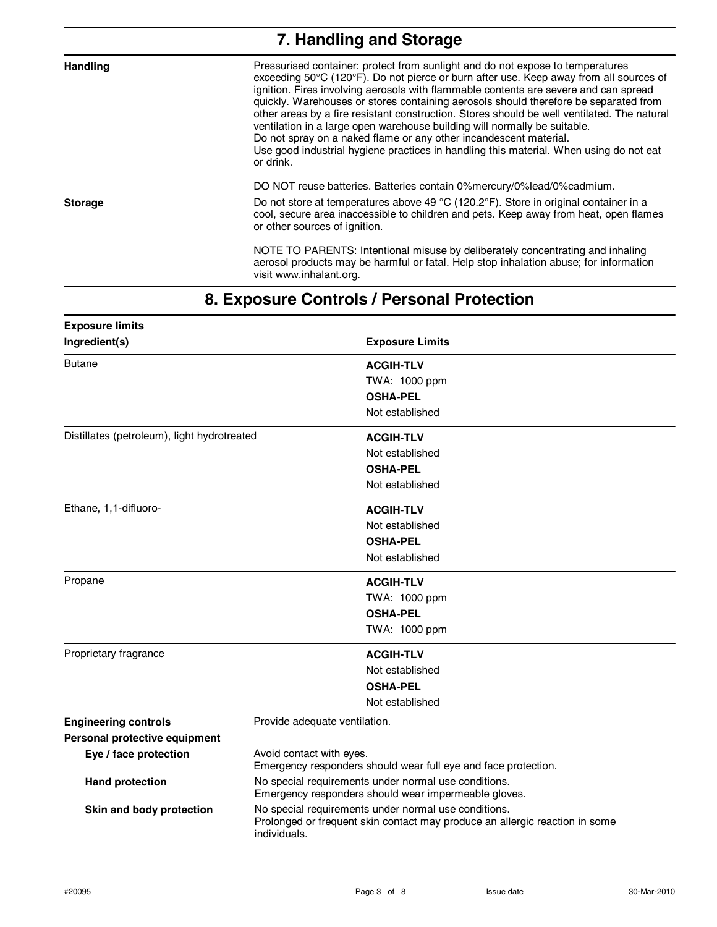| 7. Handling and Storage |                                                                                                                                                                                                                                                                                                                                                                                                                                                                                                                                                                                                                                                                                                                  |
|-------------------------|------------------------------------------------------------------------------------------------------------------------------------------------------------------------------------------------------------------------------------------------------------------------------------------------------------------------------------------------------------------------------------------------------------------------------------------------------------------------------------------------------------------------------------------------------------------------------------------------------------------------------------------------------------------------------------------------------------------|
| <b>Handling</b>         | Pressurised container: protect from sunlight and do not expose to temperatures<br>exceeding 50°C (120°F). Do not pierce or burn after use. Keep away from all sources of<br>ignition. Fires involving aerosols with flammable contents are severe and can spread<br>quickly. Warehouses or stores containing aerosols should therefore be separated from<br>other areas by a fire resistant construction. Stores should be well ventilated. The natural<br>ventilation in a large open warehouse building will normally be suitable.<br>Do not spray on a naked flame or any other incandescent material.<br>Use good industrial hygiene practices in handling this material. When using do not eat<br>or drink. |
|                         | DO NOT reuse batteries. Batteries contain 0% mercury/0% lead/0% cadmium.                                                                                                                                                                                                                                                                                                                                                                                                                                                                                                                                                                                                                                         |
| <b>Storage</b>          | Do not store at temperatures above 49 °C (120.2°F). Store in original container in a<br>cool, secure area inaccessible to children and pets. Keep away from heat, open flames<br>or other sources of ignition.                                                                                                                                                                                                                                                                                                                                                                                                                                                                                                   |
|                         | NOTE TO PARENTS: Intentional misuse by deliberately concentrating and inhaling<br>aerosol products may be harmful or fatal. Help stop inhalation abuse; for information<br>visit www.inhalant.org.                                                                                                                                                                                                                                                                                                                                                                                                                                                                                                               |

## **8. Exposure Controls / Personal Protection**

| <b>Exposure limits</b>                      |                                                                                                                                                     |
|---------------------------------------------|-----------------------------------------------------------------------------------------------------------------------------------------------------|
| Ingredient(s)                               | <b>Exposure Limits</b>                                                                                                                              |
| <b>Butane</b>                               | <b>ACGIH-TLV</b>                                                                                                                                    |
|                                             | TWA: 1000 ppm                                                                                                                                       |
|                                             | <b>OSHA-PEL</b>                                                                                                                                     |
|                                             | Not established                                                                                                                                     |
| Distillates (petroleum), light hydrotreated | <b>ACGIH-TLV</b>                                                                                                                                    |
|                                             | Not established                                                                                                                                     |
|                                             | <b>OSHA-PEL</b>                                                                                                                                     |
|                                             | Not established                                                                                                                                     |
| Ethane, 1,1-difluoro-                       | <b>ACGIH-TLV</b>                                                                                                                                    |
|                                             | Not established                                                                                                                                     |
|                                             | <b>OSHA-PEL</b>                                                                                                                                     |
|                                             | Not established                                                                                                                                     |
| Propane                                     | <b>ACGIH-TLV</b>                                                                                                                                    |
|                                             | TWA: 1000 ppm                                                                                                                                       |
|                                             | <b>OSHA-PEL</b>                                                                                                                                     |
|                                             | TWA: 1000 ppm                                                                                                                                       |
| Proprietary fragrance                       | <b>ACGIH-TLV</b>                                                                                                                                    |
|                                             | Not established                                                                                                                                     |
|                                             | <b>OSHA-PEL</b>                                                                                                                                     |
|                                             | Not established                                                                                                                                     |
| <b>Engineering controls</b>                 | Provide adequate ventilation.                                                                                                                       |
| Personal protective equipment               |                                                                                                                                                     |
| Eye / face protection                       | Avoid contact with eyes.<br>Emergency responders should wear full eye and face protection.                                                          |
| <b>Hand protection</b>                      | No special requirements under normal use conditions.<br>Emergency responders should wear impermeable gloves.                                        |
| Skin and body protection                    | No special requirements under normal use conditions.<br>Prolonged or frequent skin contact may produce an allergic reaction in some<br>individuals. |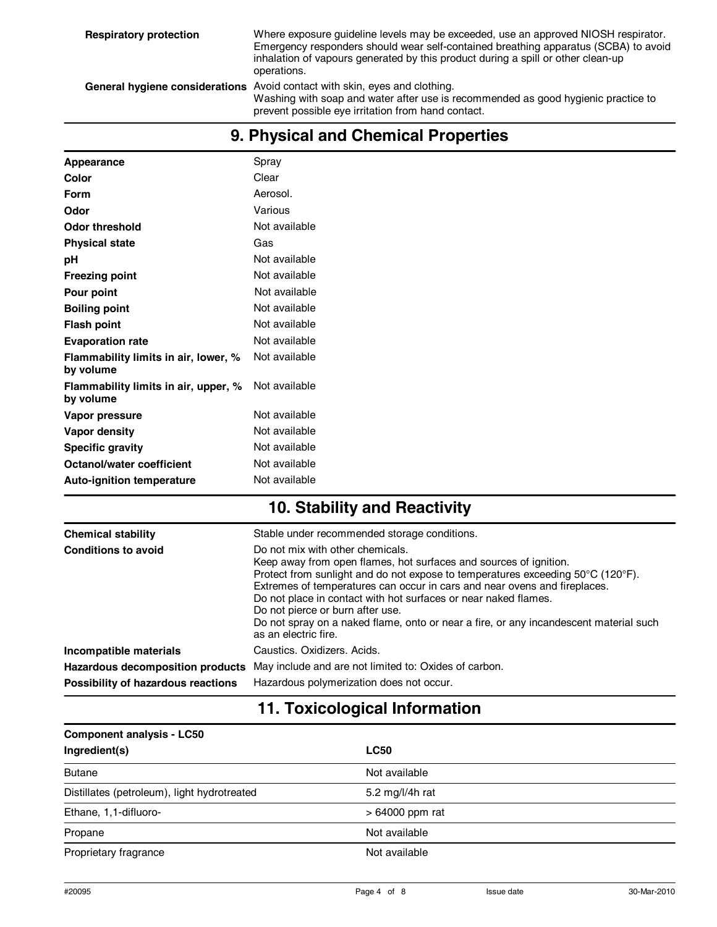| Appearance                                        | Spray         |
|---------------------------------------------------|---------------|
| Color                                             | Clear         |
| <b>Form</b>                                       | Aerosol.      |
| Odor                                              | Various       |
| <b>Odor threshold</b>                             | Not available |
| <b>Physical state</b>                             | Gas           |
| pH                                                | Not available |
| <b>Freezing point</b>                             | Not available |
| Pour point                                        | Not available |
| <b>Boiling point</b>                              | Not available |
| <b>Flash point</b>                                | Not available |
| <b>Evaporation rate</b>                           | Not available |
| Flammability limits in air, lower, %<br>by volume | Not available |
| Flammability limits in air, upper, %<br>by volume | Not available |
| Vapor pressure                                    | Not available |
| Vapor density                                     | Not available |
| <b>Specific gravity</b>                           | Not available |
| Octanol/water coefficient                         | Not available |
| <b>Auto-ignition temperature</b>                  | Not available |
|                                                   |               |

#### **9. Physical and Chemical Properties**

#### **10. Stability and Reactivity**

| <b>Chemical stability</b>          | Stable under recommended storage conditions.                                                                                                                                                                                                                                                                                                                                                                                                                                                  |
|------------------------------------|-----------------------------------------------------------------------------------------------------------------------------------------------------------------------------------------------------------------------------------------------------------------------------------------------------------------------------------------------------------------------------------------------------------------------------------------------------------------------------------------------|
| <b>Conditions to avoid</b>         | Do not mix with other chemicals.<br>Keep away from open flames, hot surfaces and sources of ignition.<br>Protect from sunlight and do not expose to temperatures exceeding 50°C (120°F).<br>Extremes of temperatures can occur in cars and near ovens and fireplaces.<br>Do not place in contact with hot surfaces or near naked flames.<br>Do not pierce or burn after use.<br>Do not spray on a naked flame, onto or near a fire, or any incandescent material such<br>as an electric fire. |
| Incompatible materials             | Caustics, Oxidizers, Acids.                                                                                                                                                                                                                                                                                                                                                                                                                                                                   |
| Hazardous decomposition products   | May include and are not limited to: Oxides of carbon.                                                                                                                                                                                                                                                                                                                                                                                                                                         |
| Possibility of hazardous reactions | Hazardous polymerization does not occur.                                                                                                                                                                                                                                                                                                                                                                                                                                                      |

#### **11. Toxicological Information**

| <b>Component analysis - LC50</b>            |                  |
|---------------------------------------------|------------------|
| Ingredient(s)                               | <b>LC50</b>      |
| <b>Butane</b>                               | Not available    |
| Distillates (petroleum), light hydrotreated | 5.2 mg/l/4h rat  |
| Ethane, 1,1-difluoro-                       | $>64000$ ppm rat |
| Propane                                     | Not available    |
| Proprietary fragrance                       | Not available    |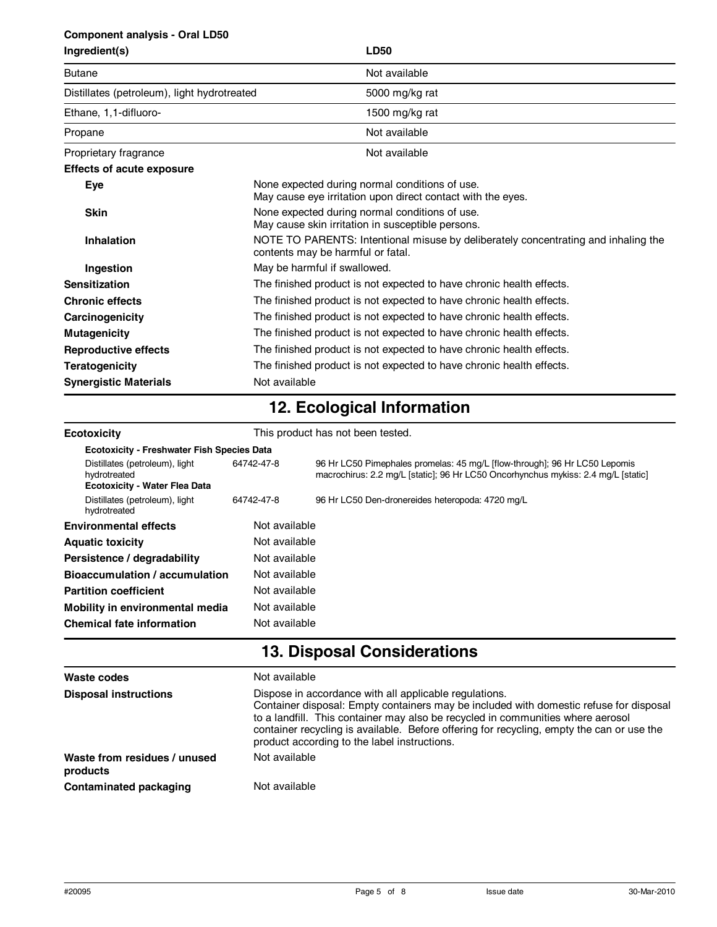#### **Component analysis - Oral LD50**

| Ingredient(s) |  |
|---------------|--|
|               |  |

| Ingredient(s)                               | <b>LD50</b>                                                                                                             |
|---------------------------------------------|-------------------------------------------------------------------------------------------------------------------------|
| <b>Butane</b>                               | Not available                                                                                                           |
| Distillates (petroleum), light hydrotreated | 5000 mg/kg rat                                                                                                          |
| Ethane, 1,1-difluoro-                       | 1500 mg/kg rat                                                                                                          |
| Propane                                     | Not available                                                                                                           |
| Proprietary fragrance                       | Not available                                                                                                           |
| <b>Effects of acute exposure</b>            |                                                                                                                         |
| <b>Eye</b>                                  | None expected during normal conditions of use.<br>May cause eye irritation upon direct contact with the eyes.           |
| <b>Skin</b>                                 | None expected during normal conditions of use.<br>May cause skin irritation in susceptible persons.                     |
| Inhalation                                  | NOTE TO PARENTS: Intentional misuse by deliberately concentrating and inhaling the<br>contents may be harmful or fatal. |
| Ingestion                                   | May be harmful if swallowed.                                                                                            |
| <b>Sensitization</b>                        | The finished product is not expected to have chronic health effects.                                                    |
| <b>Chronic effects</b>                      | The finished product is not expected to have chronic health effects.                                                    |
| Carcinogenicity                             | The finished product is not expected to have chronic health effects.                                                    |
| <b>Mutagenicity</b>                         | The finished product is not expected to have chronic health effects.                                                    |
| <b>Reproductive effects</b>                 | The finished product is not expected to have chronic health effects.                                                    |
| <b>Teratogenicity</b>                       | The finished product is not expected to have chronic health effects.                                                    |
| <b>Synergistic Materials</b>                | Not available                                                                                                           |

# **12. Ecological Information**

| <b>Ecotoxicity</b>                                                                     | This product has not been tested. |                                                                                                                                                                 |  |  |  |
|----------------------------------------------------------------------------------------|-----------------------------------|-----------------------------------------------------------------------------------------------------------------------------------------------------------------|--|--|--|
| <b>Ecotoxicity - Freshwater Fish Species Data</b>                                      |                                   |                                                                                                                                                                 |  |  |  |
| Distillates (petroleum), light<br>hydrotreated<br><b>Ecotoxicity - Water Flea Data</b> | 64742-47-8                        | 96 Hr LC50 Pimephales promelas: 45 mg/L [flow-through]; 96 Hr LC50 Lepomis<br>macrochirus: 2.2 mg/L [static]; 96 Hr LC50 Oncorhynchus mykiss: 2.4 mg/L [static] |  |  |  |
| Distillates (petroleum), light<br>hydrotreated                                         | 64742-47-8                        | 96 Hr LC50 Den-dronereides heteropoda: 4720 mg/L                                                                                                                |  |  |  |
| <b>Environmental effects</b>                                                           | Not available                     |                                                                                                                                                                 |  |  |  |
| <b>Aquatic toxicity</b>                                                                | Not available                     |                                                                                                                                                                 |  |  |  |
| Persistence / degradability                                                            | Not available                     |                                                                                                                                                                 |  |  |  |
| Bioaccumulation / accumulation                                                         | Not available                     |                                                                                                                                                                 |  |  |  |
| <b>Partition coefficient</b>                                                           | Not available                     |                                                                                                                                                                 |  |  |  |
| Mobility in environmental media                                                        | Not available                     |                                                                                                                                                                 |  |  |  |
| <b>Chemical fate information</b>                                                       | Not available                     |                                                                                                                                                                 |  |  |  |

## **13. Disposal Considerations**

| Waste codes                              | Not available                                                                                                                                                                                                                                                                                                                                                                    |  |
|------------------------------------------|----------------------------------------------------------------------------------------------------------------------------------------------------------------------------------------------------------------------------------------------------------------------------------------------------------------------------------------------------------------------------------|--|
| <b>Disposal instructions</b>             | Dispose in accordance with all applicable regulations.<br>Container disposal: Empty containers may be included with domestic refuse for disposal<br>to a landfill. This container may also be recycled in communities where aerosol<br>container recycling is available. Before offering for recycling, empty the can or use the<br>product according to the label instructions. |  |
| Waste from residues / unused<br>products | Not available                                                                                                                                                                                                                                                                                                                                                                    |  |
| Contaminated packaging                   | Not available                                                                                                                                                                                                                                                                                                                                                                    |  |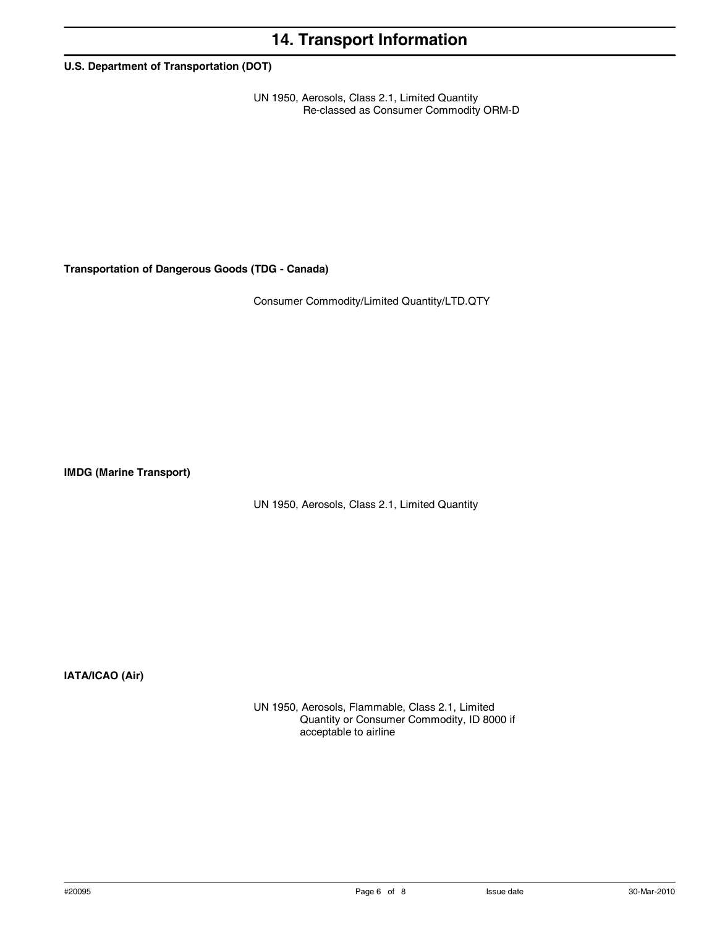## **14. Transport Information**

**U.S. Department of Transportation (DOT)**

UN 1950, Aerosols, Class 2.1, Limited Quantity Re-classed as Consumer Commodity ORM-D

**Transportation of Dangerous Goods (TDG - Canada)**

Consumer Commodity/Limited Quantity/LTD.QTY

**IMDG (Marine Transport)** 

UN 1950, Aerosols, Class 2.1, Limited Quantity

**IATA/ICAO (Air)**

UN 1950, Aerosols, Flammable, Class 2.1, Limited Quantity or Consumer Commodity, ID 8000 if acceptable to airline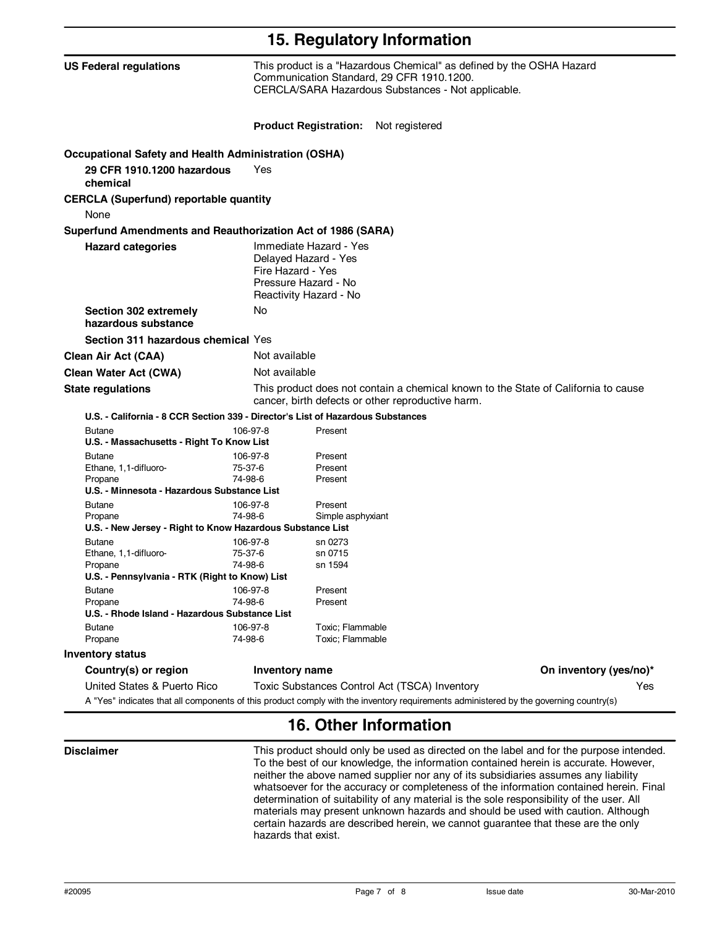| 15. Regulatory Information                                                      |                                                                                                                                                                         |                   |                                                                                                                                       |                        |  |
|---------------------------------------------------------------------------------|-------------------------------------------------------------------------------------------------------------------------------------------------------------------------|-------------------|---------------------------------------------------------------------------------------------------------------------------------------|------------------------|--|
| <b>US Federal regulations</b>                                                   | This product is a "Hazardous Chemical" as defined by the OSHA Hazard<br>Communication Standard, 29 CFR 1910.1200.<br>CERCLA/SARA Hazardous Substances - Not applicable. |                   |                                                                                                                                       |                        |  |
|                                                                                 |                                                                                                                                                                         |                   | <b>Product Registration:</b> Not registered                                                                                           |                        |  |
| <b>Occupational Safety and Health Administration (OSHA)</b>                     |                                                                                                                                                                         |                   |                                                                                                                                       |                        |  |
| 29 CFR 1910.1200 hazardous<br>chemical                                          | Yes                                                                                                                                                                     |                   |                                                                                                                                       |                        |  |
| <b>CERCLA (Superfund) reportable quantity</b><br>None                           |                                                                                                                                                                         |                   |                                                                                                                                       |                        |  |
| Superfund Amendments and Reauthorization Act of 1986 (SARA)                     |                                                                                                                                                                         |                   |                                                                                                                                       |                        |  |
| <b>Hazard categories</b>                                                        | Immediate Hazard - Yes<br>Delayed Hazard - Yes<br>Fire Hazard - Yes<br>Pressure Hazard - No<br>Reactivity Hazard - No                                                   |                   |                                                                                                                                       |                        |  |
| Section 302 extremely<br>hazardous substance                                    | No                                                                                                                                                                      |                   |                                                                                                                                       |                        |  |
| Section 311 hazardous chemical Yes                                              |                                                                                                                                                                         |                   |                                                                                                                                       |                        |  |
| <b>Clean Air Act (CAA)</b>                                                      | Not available                                                                                                                                                           |                   |                                                                                                                                       |                        |  |
| <b>Clean Water Act (CWA)</b>                                                    | Not available                                                                                                                                                           |                   |                                                                                                                                       |                        |  |
| <b>State regulations</b>                                                        | This product does not contain a chemical known to the State of California to cause<br>cancer, birth defects or other reproductive harm.                                 |                   |                                                                                                                                       |                        |  |
| U.S. - California - 8 CCR Section 339 - Director's List of Hazardous Substances |                                                                                                                                                                         |                   |                                                                                                                                       |                        |  |
| <b>Butane</b><br>U.S. - Massachusetts - Right To Know List                      | 106-97-8                                                                                                                                                                | Present           |                                                                                                                                       |                        |  |
| <b>Butane</b>                                                                   | 106-97-8                                                                                                                                                                | Present           |                                                                                                                                       |                        |  |
| Ethane, 1,1-difluoro-                                                           | 75-37-6                                                                                                                                                                 | Present           |                                                                                                                                       |                        |  |
| Propane<br>U.S. - Minnesota - Hazardous Substance List                          | 74-98-6                                                                                                                                                                 | Present           |                                                                                                                                       |                        |  |
|                                                                                 | 106-97-8                                                                                                                                                                | Present           |                                                                                                                                       |                        |  |
| <b>Butane</b><br>Propane                                                        | 74-98-6                                                                                                                                                                 | Simple asphyxiant |                                                                                                                                       |                        |  |
| U.S. - New Jersey - Right to Know Hazardous Substance List                      |                                                                                                                                                                         |                   |                                                                                                                                       |                        |  |
| <b>Butane</b>                                                                   | 106-97-8                                                                                                                                                                | sn 0273           |                                                                                                                                       |                        |  |
| Ethane, 1,1-difluoro-                                                           | 75-37-6                                                                                                                                                                 | sn 0715           |                                                                                                                                       |                        |  |
| Propane                                                                         | 74-98-6                                                                                                                                                                 | sn 1594           |                                                                                                                                       |                        |  |
| U.S. - Pennsylvania - RTK (Right to Know) List                                  |                                                                                                                                                                         |                   |                                                                                                                                       |                        |  |
| <b>Butane</b>                                                                   | 106-97-8                                                                                                                                                                | Present           |                                                                                                                                       |                        |  |
| Propane                                                                         | 74-98-6                                                                                                                                                                 | Present           |                                                                                                                                       |                        |  |
| U.S. - Rhode Island - Hazardous Substance List                                  |                                                                                                                                                                         |                   |                                                                                                                                       |                        |  |
| <b>Butane</b>                                                                   | 106-97-8                                                                                                                                                                | Toxic; Flammable  |                                                                                                                                       |                        |  |
| Propane                                                                         | 74-98-6                                                                                                                                                                 | Toxic; Flammable  |                                                                                                                                       |                        |  |
| <b>Inventory status</b>                                                         |                                                                                                                                                                         |                   |                                                                                                                                       |                        |  |
| Country(s) or region                                                            |                                                                                                                                                                         | Inventory name    |                                                                                                                                       | On inventory (yes/no)* |  |
| United States & Puerto Rico                                                     |                                                                                                                                                                         |                   | Toxic Substances Control Act (TSCA) Inventory                                                                                         | Yes.                   |  |
|                                                                                 |                                                                                                                                                                         |                   | A "Yes" indicates that all components of this product comply with the inventory requirements administered by the governing country(s) |                        |  |

### **16. Other Information**

**Disclaimer** This product should only be used as directed on the label and for the purpose intended. To the best of our knowledge, the information contained herein is accurate. However, neither the above named supplier nor any of its subsidiaries assumes any liability whatsoever for the accuracy or completeness of the information contained herein. Final determination of suitability of any material is the sole responsibility of the user. All materials may present unknown hazards and should be used with caution. Although certain hazards are described herein, we cannot guarantee that these are the only hazards that exist.